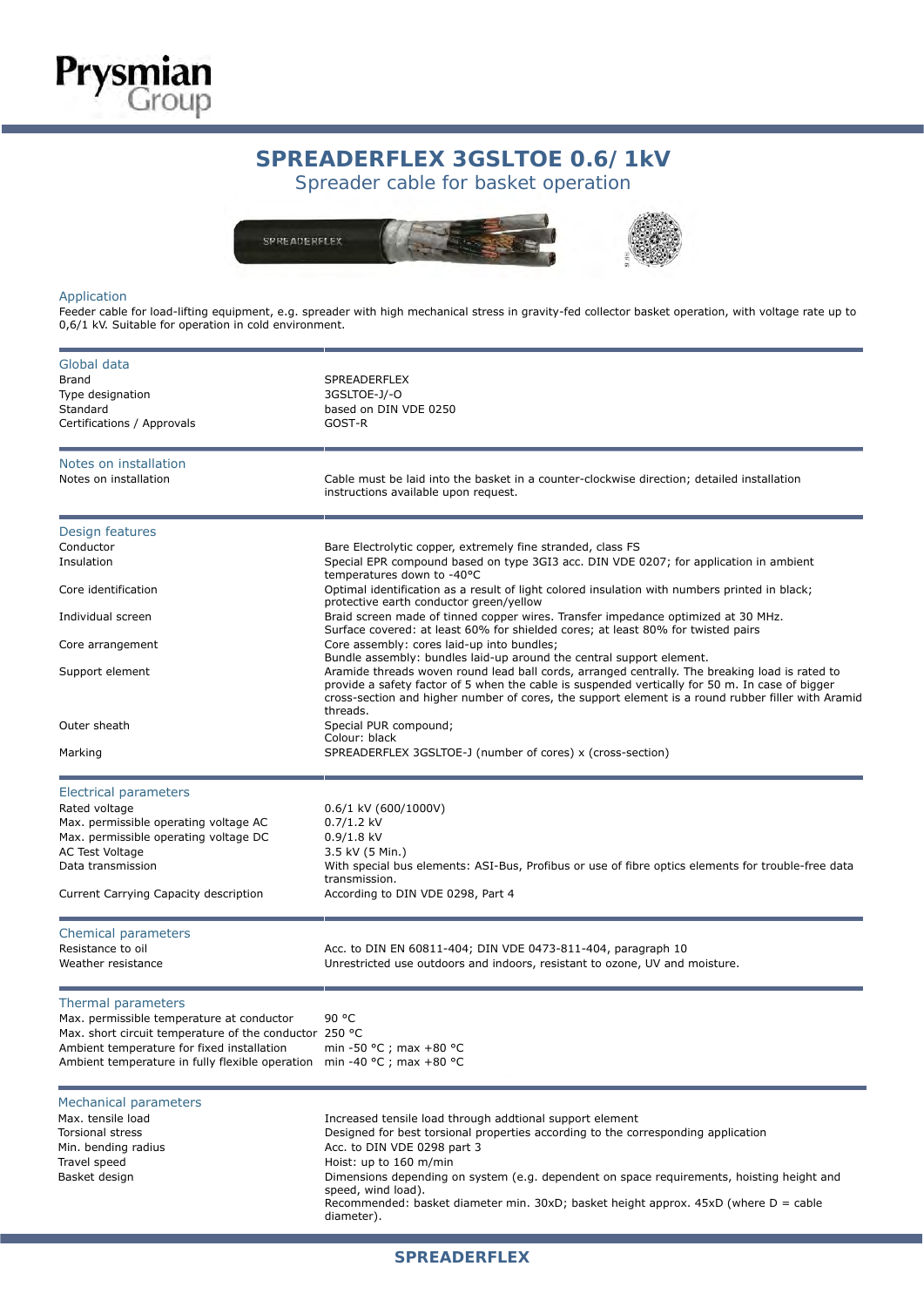## SPREADERFLEX 3GSETOE 0.07 TRV: Spreader cable for basket operation **SPREADERFLEX 3GSLTOE 0.6/1kV**



## Application

**Prysmian**<br>Group

Feeder cable for load-lifting equipment, e.g. spreader with high mechanical stress in gravity-fed collector basket operation, with voltage rate up to 0,6/1 kV. Suitable for operation in cold environment.

| Global data<br>Brand<br>Type designation<br>Standard<br>Certifications / Approvals                                                                                                                                         | SPREADERFLEX<br>3GSLTOE-J/-O<br>based on DIN VDE 0250<br>GOST-R                                                                                                                                                                                                                                                                                                                                                                     |  |  |  |  |  |
|----------------------------------------------------------------------------------------------------------------------------------------------------------------------------------------------------------------------------|-------------------------------------------------------------------------------------------------------------------------------------------------------------------------------------------------------------------------------------------------------------------------------------------------------------------------------------------------------------------------------------------------------------------------------------|--|--|--|--|--|
| Notes on installation<br>Notes on installation                                                                                                                                                                             | Cable must be laid into the basket in a counter-clockwise direction; detailed installation<br>instructions available upon request.                                                                                                                                                                                                                                                                                                  |  |  |  |  |  |
| Design features<br>Conductor<br>Insulation                                                                                                                                                                                 | Bare Electrolytic copper, extremely fine stranded, class FS<br>Special EPR compound based on type 3GI3 acc. DIN VDE 0207; for application in ambient<br>temperatures down to -40°C                                                                                                                                                                                                                                                  |  |  |  |  |  |
| Core identification                                                                                                                                                                                                        | Optimal identification as a result of light colored insulation with numbers printed in black;<br>protective earth conductor green/yellow                                                                                                                                                                                                                                                                                            |  |  |  |  |  |
| Individual screen                                                                                                                                                                                                          | Braid screen made of tinned copper wires. Transfer impedance optimized at 30 MHz.<br>Surface covered: at least 60% for shielded cores; at least 80% for twisted pairs                                                                                                                                                                                                                                                               |  |  |  |  |  |
| Core arrangement<br>Support element                                                                                                                                                                                        | Core assembly: cores laid-up into bundles;<br>Bundle assembly: bundles laid-up around the central support element.<br>Aramide threads woven round lead ball cords, arranged centrally. The breaking load is rated to<br>provide a safety factor of 5 when the cable is suspended vertically for 50 m. In case of bigger<br>cross-section and higher number of cores, the support element is a round rubber filler with Aramid       |  |  |  |  |  |
| Outer sheath                                                                                                                                                                                                               | threads.<br>Special PUR compound;<br>Colour: black                                                                                                                                                                                                                                                                                                                                                                                  |  |  |  |  |  |
| Marking                                                                                                                                                                                                                    | SPREADERFLEX 3GSLTOE-J (number of cores) x (cross-section)                                                                                                                                                                                                                                                                                                                                                                          |  |  |  |  |  |
| <b>Electrical parameters</b><br>Rated voltage<br>Max. permissible operating voltage AC<br>Max. permissible operating voltage DC<br>AC Test Voltage<br>Data transmission<br>Current Carrying Capacity description           | $0.6/1$ kV (600/1000V)<br>$0.7/1.2$ kV<br>$0.9/1.8$ kV<br>3.5 kV (5 Min.)<br>With special bus elements: ASI-Bus, Profibus or use of fibre optics elements for trouble-free data<br>transmission.<br>According to DIN VDE 0298, Part 4                                                                                                                                                                                               |  |  |  |  |  |
| Chemical parameters<br>Resistance to oil<br>Weather resistance                                                                                                                                                             | Acc. to DIN EN 60811-404; DIN VDE 0473-811-404, paragraph 10<br>Unrestricted use outdoors and indoors, resistant to ozone, UV and moisture.                                                                                                                                                                                                                                                                                         |  |  |  |  |  |
| Thermal parameters<br>Max. permissible temperature at conductor<br>Max. short circuit temperature of the conductor 250 °C<br>Ambient temperature for fixed installation<br>Ambient temperature in fully flexible operation | 90 °C<br>min -50 °C ; max +80 °C<br>min -40 °C ; max +80 °C                                                                                                                                                                                                                                                                                                                                                                         |  |  |  |  |  |
| <b>Mechanical parameters</b><br>Max. tensile load<br><b>Torsional stress</b><br>Min. bending radius<br>Travel speed<br>Basket design                                                                                       | Increased tensile load through addtional support element<br>Designed for best torsional properties according to the corresponding application<br>Acc. to DIN VDE 0298 part 3<br>Hoist: up to 160 m/min<br>Dimensions depending on system (e.g. dependent on space requirements, hoisting height and<br>speed, wind load).<br>Recommended: basket diameter min. $30xD$ ; basket height approx. $45xD$ (where D = cable<br>diameter). |  |  |  |  |  |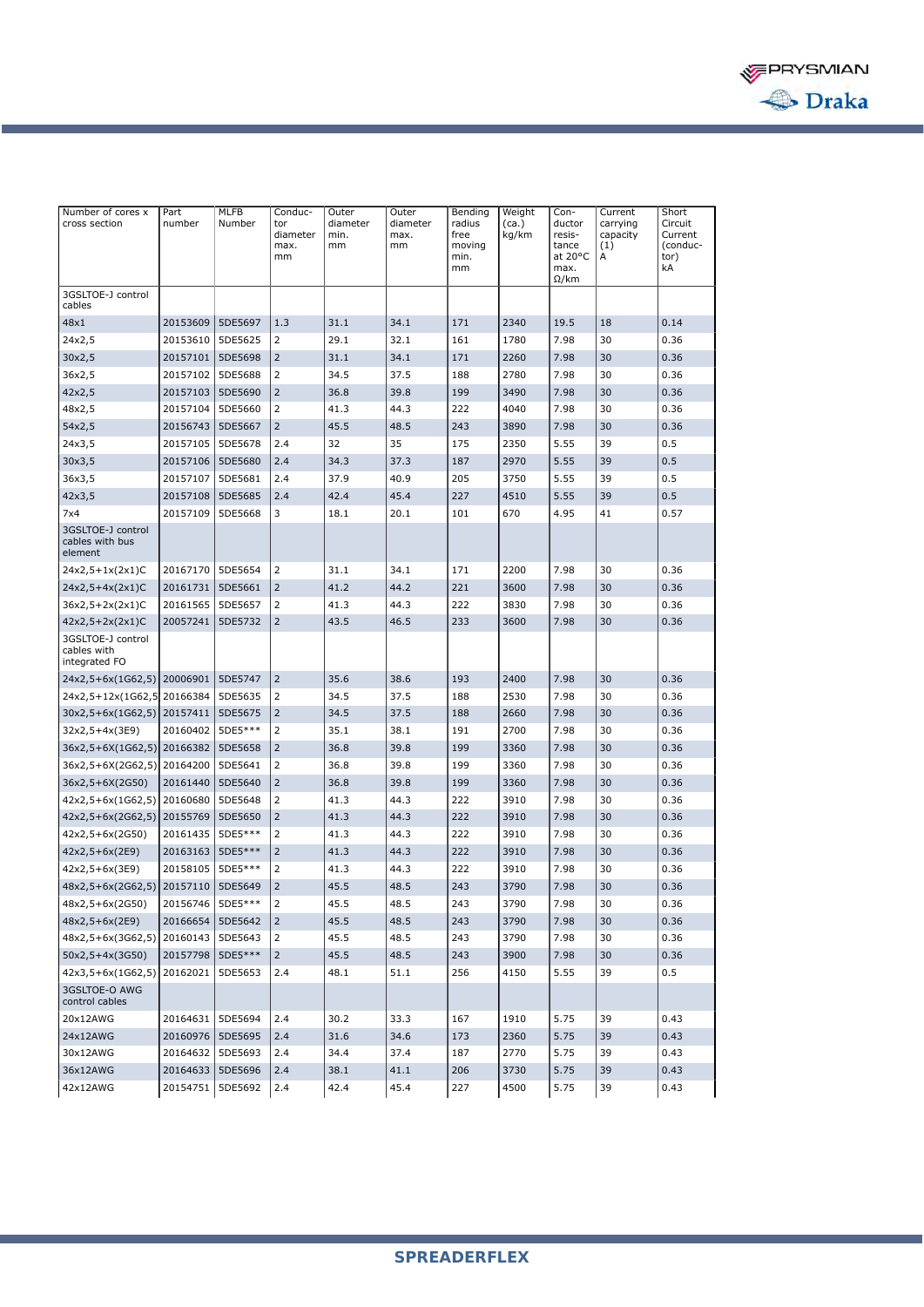

| Number of cores x<br>cross section                | Part<br>number     | MLFB<br>Number | Conduc-<br>tor<br>diameter<br>max.<br>mm | Outer<br>diameter<br>min.<br>mm | Outer<br>diameter<br>max.<br>mm | Bending<br>radius<br>free<br>moving<br>min.<br>mm | Weight<br>(ca.)<br>kg/km | Con-<br>ductor<br>resis-<br>tance<br>at 20°C<br>max.<br>$\Omega$ /km | Current<br>carrying<br>capacity<br>(1)<br>А | Short<br>Circuit<br>Current<br>(conduc-<br>tor)<br>kA |
|---------------------------------------------------|--------------------|----------------|------------------------------------------|---------------------------------|---------------------------------|---------------------------------------------------|--------------------------|----------------------------------------------------------------------|---------------------------------------------|-------------------------------------------------------|
| 3GSLTOE-J control<br>cables                       |                    |                |                                          |                                 |                                 |                                                   |                          |                                                                      |                                             |                                                       |
| 48x1                                              | 20153609           | 5DE5697        | 1.3                                      | 31.1                            | 34.1                            | 171                                               | 2340                     | 19.5                                                                 | 18                                          | 0.14                                                  |
| 24x2,5                                            | 20153610           | 5DE5625        | $\overline{2}$                           | 29.1                            | 32.1                            | 161                                               | 1780                     | 7.98                                                                 | 30                                          | 0.36                                                  |
| 30x2,5                                            | 20157101           | 5DE5698        | $\overline{2}$                           | 31.1                            | 34.1                            | 171                                               | 2260                     | 7.98                                                                 | 30                                          | 0.36                                                  |
| 36x2,5                                            | 20157102           | 5DE5688        | 2                                        | 34.5                            | 37.5                            | 188                                               | 2780                     | 7.98                                                                 | 30                                          | 0.36                                                  |
| 42x2,5                                            | 20157103           | 5DE5690        | $\overline{2}$                           | 36.8                            | 39.8                            | 199                                               | 3490                     | 7.98                                                                 | 30                                          | 0.36                                                  |
| 48x2,5                                            | 20157104           | 5DE5660        | $\overline{2}$                           | 41.3                            | 44.3                            | 222                                               | 4040                     | 7.98                                                                 | 30                                          | 0.36                                                  |
| 54x2,5                                            | 20156743           | 5DE5667        | $\overline{2}$                           | 45.5                            | 48.5                            | 243                                               | 3890                     | 7.98                                                                 | 30                                          | 0.36                                                  |
| 24x3,5                                            | 20157105           | 5DE5678        | 2.4                                      | 32                              | 35                              | 175                                               | 2350                     | 5.55                                                                 | 39                                          | 0.5                                                   |
| 30x3,5                                            | 20157106           | 5DE5680        | 2.4                                      | 34.3                            | 37.3                            | 187                                               | 2970                     | 5.55                                                                 | 39                                          | 0.5                                                   |
| 36x3,5                                            | 20157107           | 5DE5681        | 2.4                                      | 37.9                            | 40.9                            | 205                                               | 3750                     | 5.55                                                                 | 39                                          | 0.5                                                   |
| 42x3,5                                            | 20157108           | 5DE5685        | 2.4                                      | 42.4                            | 45.4                            | 227                                               | 4510                     | 5.55                                                                 | 39                                          | 0.5                                                   |
| 7x4                                               | 20157109           | 5DE5668        | 3                                        | 18.1                            | 20.1                            | 101                                               | 670                      | 4.95                                                                 | 41                                          | 0.57                                                  |
| 3GSLTOE-J control<br>cables with bus<br>element   |                    |                |                                          |                                 |                                 |                                                   |                          |                                                                      |                                             |                                                       |
| 24x2,5+1x(2x1)C                                   | 20167170           | 5DE5654        | 2                                        | 31.1                            | 34.1                            | 171                                               | 2200                     | 7.98                                                                 | 30                                          | 0.36                                                  |
| $24x2,5+4x(2x1)C$                                 | 20161731           | 5DE5661        | $\overline{2}$                           | 41.2                            | 44.2                            | 221                                               | 3600                     | 7.98                                                                 | 30                                          | 0.36                                                  |
| $36x2,5+2x(2x1)C$                                 | 20161565           | 5DE5657        | $\overline{2}$                           | 41.3                            | 44.3                            | 222                                               | 3830                     | 7.98                                                                 | 30                                          | 0.36                                                  |
| 42x2,5+2x(2x1)C                                   | 20057241           | 5DE5732        | $\overline{2}$                           | 43.5                            | 46.5                            | 233                                               | 3600                     | 7.98                                                                 | 30                                          | 0.36                                                  |
| 3GSLTOE-J control<br>cables with<br>integrated FO |                    |                |                                          |                                 |                                 |                                                   |                          |                                                                      |                                             |                                                       |
| 24x2,5+6x(1G62,5) 20006901                        |                    | 5DE5747        | $\overline{2}$                           | 35.6                            | 38.6                            | 193                                               | 2400                     | 7.98                                                                 | 30                                          | 0.36                                                  |
| 24x2,5+12x(1G62,5 20166384                        |                    | 5DE5635        | 2                                        | 34.5                            | 37.5                            | 188                                               | 2530                     | 7.98                                                                 | 30                                          | 0.36                                                  |
| 30x2,5+6x(1G62,5) 20157411                        |                    | 5DE5675        | $\overline{2}$                           | 34.5                            | 37.5                            | 188                                               | 2660                     | 7.98                                                                 | 30                                          | 0.36                                                  |
| 32x2,5+4x(3E9)                                    | 20160402           | 5DE5***        | 2                                        | 35.1                            | 38.1                            | 191                                               | 2700                     | 7.98                                                                 | 30                                          | 0.36                                                  |
| 36x2,5+6X(1G62,5) 20166382 5DE5658                |                    |                | $\overline{2}$                           | 36.8                            | 39.8                            | 199                                               | 3360                     | 7.98                                                                 | 30                                          | 0.36                                                  |
| 36x2,5+6X(2G62,5) 20164200                        |                    | 5DE5641        | 2                                        | 36.8                            | 39.8                            | 199                                               | 3360                     | 7.98                                                                 | 30                                          | 0.36                                                  |
| 36x2,5+6X(2G50)                                   | 20161440           | 5DE5640        | $\overline{2}$                           | 36.8                            | 39.8                            | 199                                               | 3360                     | 7.98                                                                 | 30                                          | 0.36                                                  |
| 42x2,5+6x(1G62,5)                                 | 20160680           | 5DE5648        | 2                                        | 41.3                            | 44.3                            | 222                                               | 3910                     | 7.98                                                                 | 30                                          | 0.36                                                  |
| 42x2,5+6x(2G62,5) 20155769                        |                    | 5DE5650        | 2                                        | 41.3                            | 44.3                            | 222                                               | 3910                     | 7.98                                                                 | 30                                          | 0.36                                                  |
| 42x2,5+6x(2G50)                                   | 20161435           | 5DE5***        | 2                                        | 41.3                            | 44.3                            | 222                                               | 3910                     | 7.98                                                                 | 30                                          | 0.36                                                  |
| $42x2,5+6x(2E9)$                                  | 20163163           | 5DE5***        | $\overline{2}$                           | 41.3                            | 44.3                            | 222                                               | 3910                     | 7.98                                                                 | 30                                          | 0.36                                                  |
| 42x2,5+6x(3E9)                                    | 20158105           | 5DE5***        | 2                                        | 41.3                            | 44.3                            | 222                                               | 3910                     | 7.98                                                                 | 30                                          | 0.36                                                  |
| 48x2,5+6x(2G62,5) 20157110                        |                    | 5DE5649        | $\overline{2}$                           | 45.5                            | 48.5                            | 243                                               | 3790                     | 7.98                                                                 | 30                                          | 0.36                                                  |
| 48x2,5+6x(2G50)                                   | 20156746 5DE5***   |                | $\overline{2}$                           | 45.5                            | 48.5                            | 243                                               | 3790                     | 7.98                                                                 | 30                                          | 0.36                                                  |
| 48x2,5+6x(2E9)                                    | 20166654 5DE5642   |                | $\overline{2}$                           | 45.5                            | 48.5                            | 243                                               | 3790                     | 7.98                                                                 | 30                                          | 0.36                                                  |
| 48x2,5+6x(3G62,5) 20160143                        |                    | 5DE5643        | 2                                        | 45.5                            | 48.5                            | 243                                               | 3790                     | 7.98                                                                 | 30                                          | 0.36                                                  |
| 50x2,5+4x(3G50)                                   | 20157798           | 5DE5***        | $\overline{2}$                           | 45.5                            | 48.5                            | 243                                               | 3900                     | 7.98                                                                 | 30                                          | 0.36                                                  |
| 42x3,5+6x(1G62,5) 20162021                        |                    | 5DE5653        | 2.4                                      | 48.1                            | 51.1                            | 256                                               | 4150                     | 5.55                                                                 | 39                                          | 0.5                                                   |
| 3GSLTOE-O AWG<br>control cables                   |                    |                |                                          |                                 |                                 |                                                   |                          |                                                                      |                                             |                                                       |
| 20x12AWG                                          | 20164631 5DE5694   |                | 2.4                                      | 30.2                            | 33.3                            | 167                                               | 1910                     | 5.75                                                                 | 39                                          | 0.43                                                  |
| 24x12AWG                                          | 20160976   5DE5695 |                | 2.4                                      | 31.6                            | 34.6                            | 173                                               | 2360                     | 5.75                                                                 | 39                                          | 0.43                                                  |
| 30x12AWG                                          | 20164632 5DE5693   |                | 2.4                                      | 34.4                            | 37.4                            | 187                                               | 2770                     | 5.75                                                                 | 39                                          | 0.43                                                  |
| 36x12AWG                                          | 20164633 5DE5696   |                | 2.4                                      | 38.1                            | 41.1                            | 206                                               | 3730                     | 5.75                                                                 | 39                                          | 0.43                                                  |
| 42x12AWG                                          | 20154751 5DE5692   |                | 2.4                                      | 42.4                            | 45.4                            | 227                                               | 4500                     | 5.75                                                                 | 39                                          | 0.43                                                  |